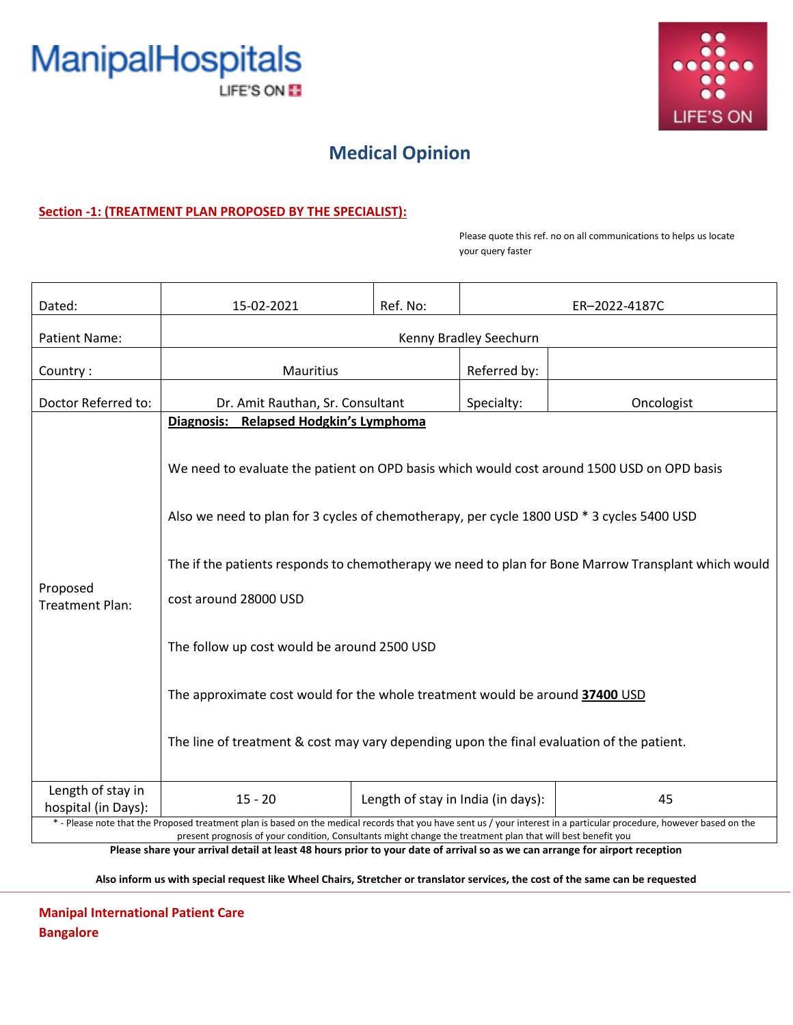



## **Medical Opinion**

### **Section -1: (TREATMENT PLAN PROPOSED BY THE SPECIALIST):**

Please quote this ref. no on all communications to helps us locate your query faster

| Dated:                                                                                                                                                                                                                                                                                                                                                                                  | 15-02-2021                                                                                          | Ref. No:                           | ER-2022-4187C |            |  |
|-----------------------------------------------------------------------------------------------------------------------------------------------------------------------------------------------------------------------------------------------------------------------------------------------------------------------------------------------------------------------------------------|-----------------------------------------------------------------------------------------------------|------------------------------------|---------------|------------|--|
| Patient Name:                                                                                                                                                                                                                                                                                                                                                                           | Kenny Bradley Seechurn                                                                              |                                    |               |            |  |
| Country:                                                                                                                                                                                                                                                                                                                                                                                | <b>Mauritius</b>                                                                                    |                                    | Referred by:  |            |  |
| Doctor Referred to:                                                                                                                                                                                                                                                                                                                                                                     | Dr. Amit Rauthan, Sr. Consultant                                                                    |                                    | Specialty:    | Oncologist |  |
| Proposed<br><b>Treatment Plan:</b>                                                                                                                                                                                                                                                                                                                                                      | <b>Relapsed Hodgkin's Lymphoma</b><br>Diagnosis:                                                    |                                    |               |            |  |
|                                                                                                                                                                                                                                                                                                                                                                                         | We need to evaluate the patient on OPD basis which would cost around 1500 USD on OPD basis          |                                    |               |            |  |
|                                                                                                                                                                                                                                                                                                                                                                                         | Also we need to plan for 3 cycles of chemotherapy, per cycle 1800 USD * 3 cycles 5400 USD           |                                    |               |            |  |
|                                                                                                                                                                                                                                                                                                                                                                                         | The if the patients responds to chemotherapy we need to plan for Bone Marrow Transplant which would |                                    |               |            |  |
|                                                                                                                                                                                                                                                                                                                                                                                         | cost around 28000 USD                                                                               |                                    |               |            |  |
|                                                                                                                                                                                                                                                                                                                                                                                         | The follow up cost would be around 2500 USD                                                         |                                    |               |            |  |
|                                                                                                                                                                                                                                                                                                                                                                                         | The approximate cost would for the whole treatment would be around 37400 USD                        |                                    |               |            |  |
|                                                                                                                                                                                                                                                                                                                                                                                         | The line of treatment & cost may vary depending upon the final evaluation of the patient.           |                                    |               |            |  |
| Length of stay in<br>hospital (in Days):                                                                                                                                                                                                                                                                                                                                                | $15 - 20$                                                                                           | Length of stay in India (in days): |               | 45         |  |
| * - Please note that the Proposed treatment plan is based on the medical records that you have sent us / your interest in a particular procedure, however based on the<br>present prognosis of your condition, Consultants might change the treatment plan that will best benefit you<br>والمستوجب ومراجع المساوية والمعاول سيمتن وللرسول وسيبيط فالمسوا للمرائح المطواد المباشر<br>ni. |                                                                                                     |                                    |               |            |  |

**Please share your arrival detail at least 48 hours prior to your date of arrival so as we can arrange for airport reception**

**Also inform us with special request like Wheel Chairs, Stretcher or translator services, the cost of the same can be requested**

**Manipal International Patient Care Bangalore**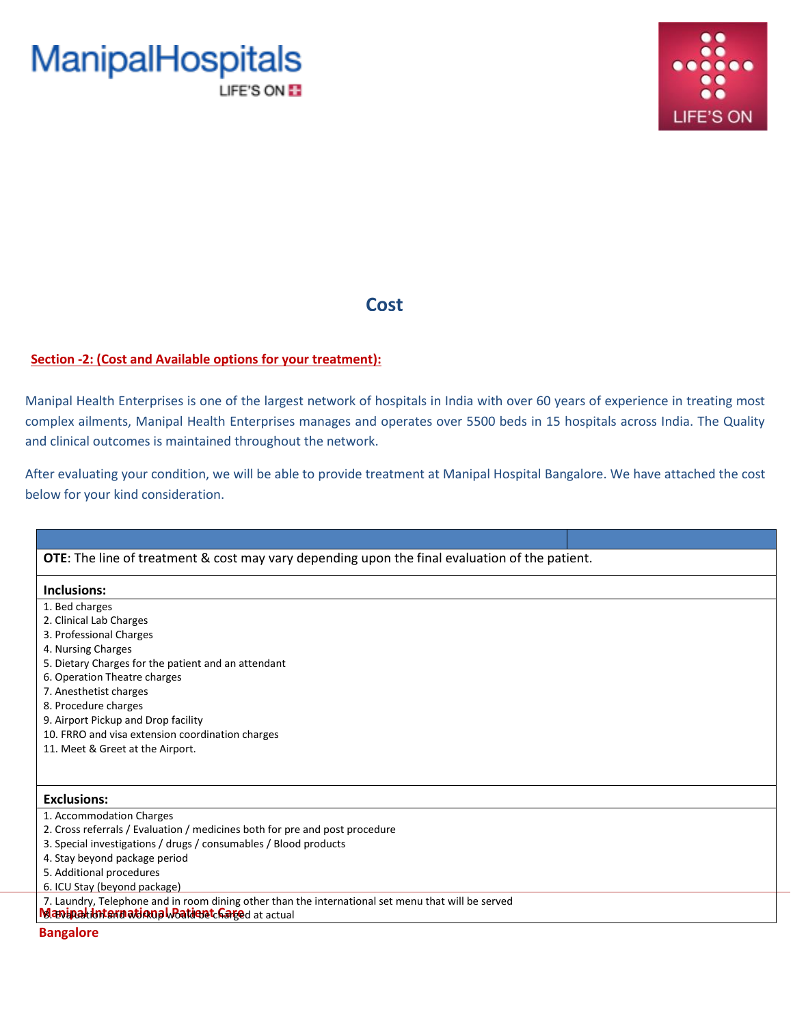



### **Cost**

### **Section -2: (Cost and Available options for your treatment):**

Manipal Health Enterprises is one of the largest network of hospitals in India with over 60 years of experience in treating most complex ailments, Manipal Health Enterprises manages and operates over 5500 beds in 15 hospitals across India. The Quality and clinical outcomes is maintained throughout the network.

After evaluating your condition, we will be able to provide treatment at Manipal Hospital Bangalore. We have attached the cost below for your kind consideration.

| <b>OTE:</b> The line of treatment & cost may vary depending upon the final evaluation of the patient. |  |  |  |  |
|-------------------------------------------------------------------------------------------------------|--|--|--|--|
|                                                                                                       |  |  |  |  |
| Inclusions:                                                                                           |  |  |  |  |
| 1. Bed charges                                                                                        |  |  |  |  |
| 2. Clinical Lab Charges                                                                               |  |  |  |  |
| 3. Professional Charges                                                                               |  |  |  |  |
| 4. Nursing Charges                                                                                    |  |  |  |  |
| 5. Dietary Charges for the patient and an attendant                                                   |  |  |  |  |
| 6. Operation Theatre charges                                                                          |  |  |  |  |
| 7. Anesthetist charges                                                                                |  |  |  |  |
| 8. Procedure charges                                                                                  |  |  |  |  |
| 9. Airport Pickup and Drop facility                                                                   |  |  |  |  |
| 10. FRRO and visa extension coordination charges                                                      |  |  |  |  |
| 11. Meet & Greet at the Airport.                                                                      |  |  |  |  |
|                                                                                                       |  |  |  |  |
|                                                                                                       |  |  |  |  |
| <b>Exclusions:</b>                                                                                    |  |  |  |  |
| 1. Accommodation Charges                                                                              |  |  |  |  |
| 2. Cross referrals / Evaluation / medicines both for pre and post procedure                           |  |  |  |  |
| 3. Special investigations / drugs / consumables / Blood products                                      |  |  |  |  |
| 4. Stay beyond package period                                                                         |  |  |  |  |
| 5. Additional procedures                                                                              |  |  |  |  |
| 6. ICU Stay (beyond package)                                                                          |  |  |  |  |
| 7. Laundry, Telephone and in room dining other than the international set menu that will be served    |  |  |  |  |
| Manipalibriarnational Batient Carged at actual                                                        |  |  |  |  |

**Bangalore**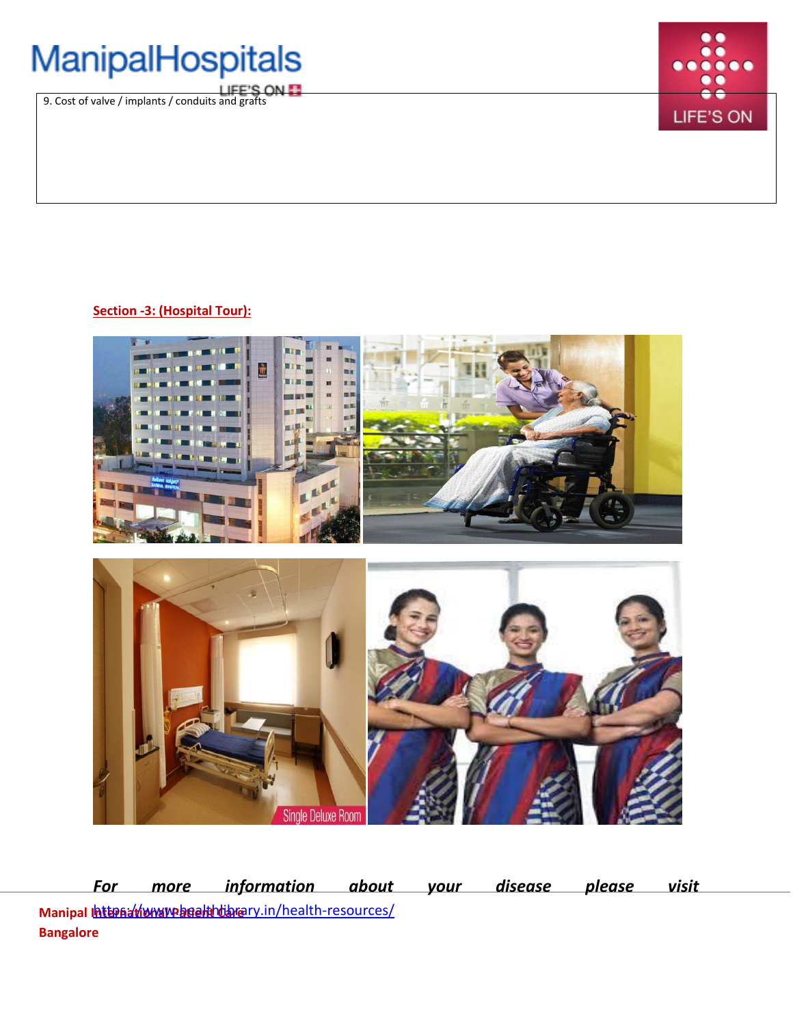# ManipalHospitals

**IFE'S ON E** [9. Cost of valve / implants / conduits and grafts](http://www.manipalhospitals.com/)



### **Section -3: (Hospital Tour):**



**Manipal <u>Internation หากคลอฝนาปัจกล</u>ry.in/health-resources/ Bangalore** *For more information about your disease please visit*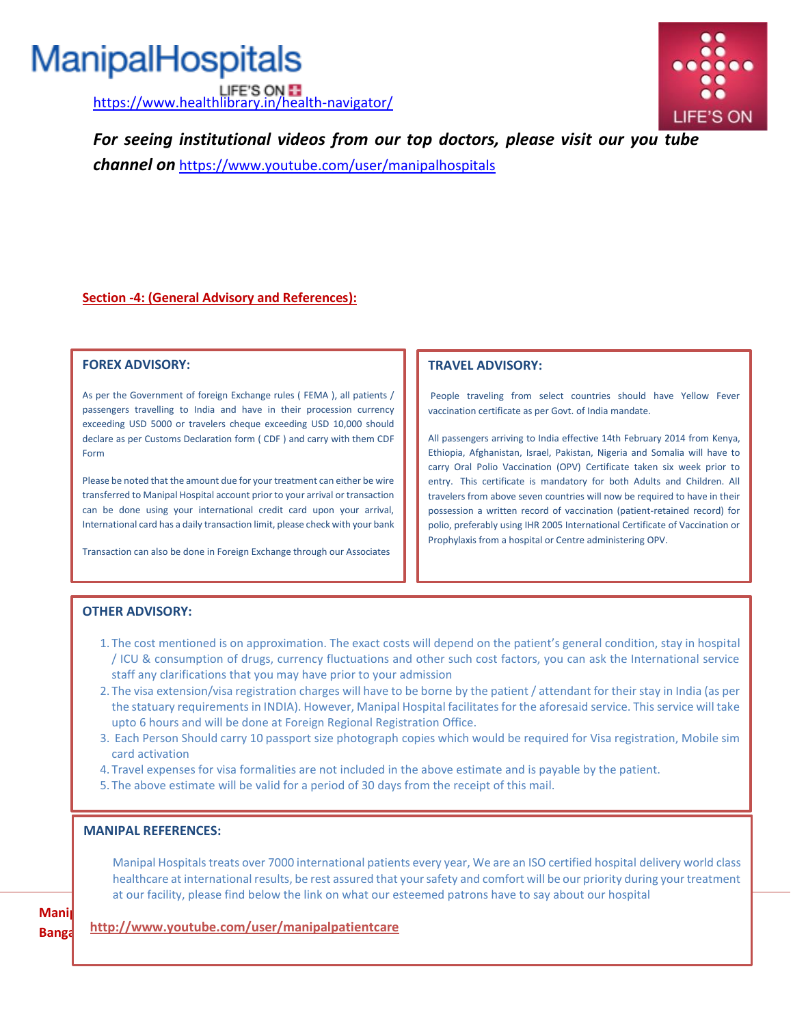# ManipalHospitals

LIFE'S ON **F1**<br><https://www.healthlibrary.in/health-navigator/>



*For seeing institutional videos from our top doctors, please visit our you tube* 

*channel on* <https://www.youtube.com/user/manipalhospitals>

### **Section -4: (General Advisory and References):**

#### **FOREX ADVISORY:**

As per the Government of foreign Exchange rules ( FEMA ), all patients / passengers travelling to India and have in their procession currency exceeding USD 5000 or travelers cheque exceeding USD 10,000 should declare as per Customs Declaration form ( CDF ) and carry with them CDF Form

Please be noted that the amount due for your treatment can either be wire transferred to Manipal Hospital account prior to your arrival or transaction can be done using your international credit card upon your arrival, International card has a daily transaction limit, please check with your bank

Transaction can also be done in Foreign Exchange through our Associates

### **TRAVEL ADVISORY:**

People traveling from select countries should have Yellow Fever vaccination certificate as per Govt. of India mandate.

All passengers arriving to India effective 14th February 2014 from Kenya, Ethiopia, Afghanistan, Israel, Pakistan, Nigeria and Somalia will have to carry Oral Polio Vaccination (OPV) Certificate taken six week prior to entry. This certificate is mandatory for both Adults and Children. All travelers from above seven countries will now be required to have in their possession a written record of vaccination (patient-retained record) for polio, preferably using IHR 2005 International Certificate of Vaccination or Prophylaxis from a hospital or Centre administering OPV.

### **OTHER ADVISORY:**

- 1. The cost mentioned is on approximation. The exact costs will depend on the patient's general condition, stay in hospital / ICU & consumption of drugs, currency fluctuations and other such cost factors, you can ask the International service staff any clarifications that you may have prior to your admission
- 2. The visa extension/visa registration charges will have to be borne by the patient / attendant for their stay in India (as per the statuary requirements in INDIA). However, Manipal Hospital facilitates for the aforesaid service. This service will take upto 6 hours and will be done at Foreign Regional Registration Office.
- 3. Each Person Should carry 10 passport size photograph copies which would be required for Visa registration, Mobile sim card activation
- 4. Travel expenses for visa formalities are not included in the above estimate and is payable by the patient.
- 5. The above estimate will be valid for a period of 30 days from the receipt of this mail.

#### **MANIPAL REFERENCES:**

Manipal Hospitals treats over 7000 international patients every year, We are an ISO certified hospital delivery world class healthcare at international results, be rest assured that your safety and comfort will be our priority during your treatment at our facility, please find below the link on what our esteemed patrons have to say about our hospital

**Mani Banga** 

**<http://www.youtube.com/user/manipalpatientcare>**